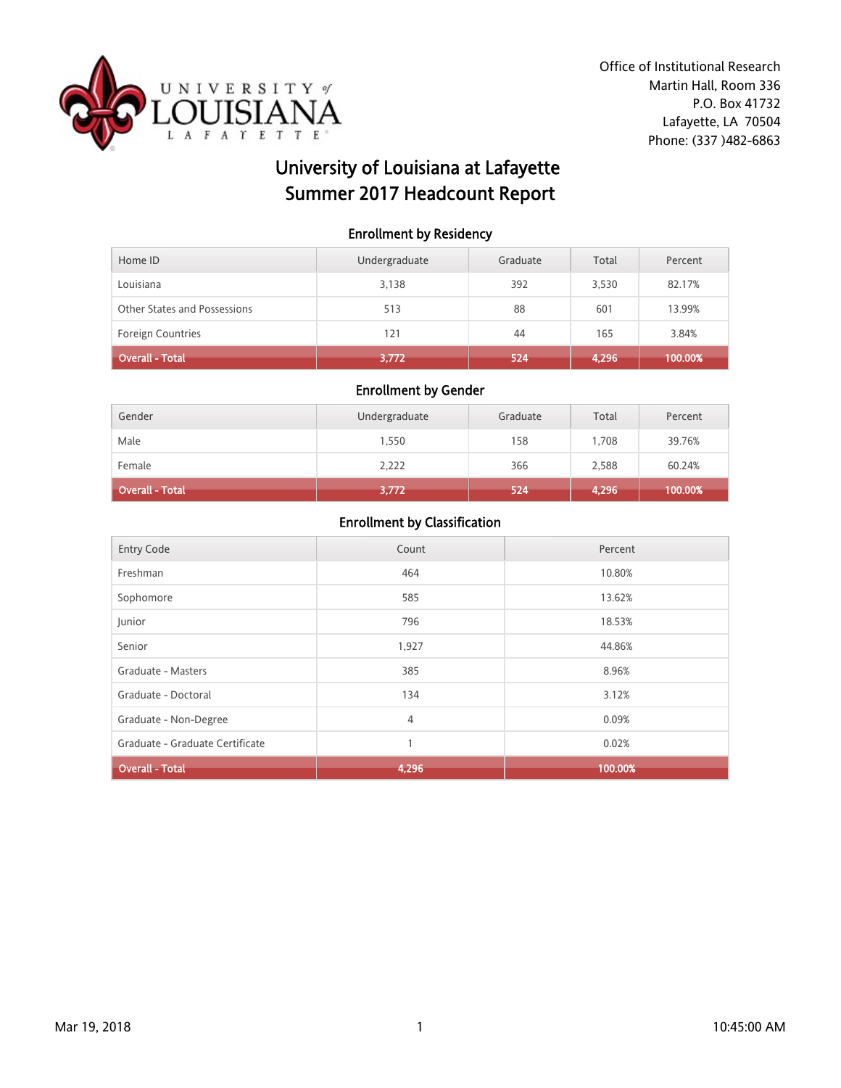

# University of Louisiana at Lafayette Summer 2017 Headcount Report

### Enrollment by Residency

| Home ID                      | Undergraduate | Graduate | Total | Percent |
|------------------------------|---------------|----------|-------|---------|
| Louisiana                    | 3,138         | 392      | 3,530 | 82.17%  |
| Other States and Possessions | 513           | 88       | 601   | 13.99%  |
| <b>Foreign Countries</b>     | 121           | 44       | 165   | 3.84%   |
| Overall - Total              | 3,772         | 524      | 4,296 | 100.00% |

### Enrollment by Gender

| Gender                 | Undergraduate | Graduate | Total | Percent |
|------------------------|---------------|----------|-------|---------|
| Male                   | 1,550         | 158      | 1.708 | 39.76%  |
| Female                 | 2,222         | 366      | 2,588 | 60.24%  |
| <b>Overall - Total</b> | 3,772         | 524      | 4,296 | 100.00% |

| <b>Entry Code</b>               | Count | Percent |
|---------------------------------|-------|---------|
| Freshman                        | 464   | 10.80%  |
| Sophomore                       | 585   | 13.62%  |
| Junior                          | 796   | 18.53%  |
| Senior                          | 1,927 | 44.86%  |
| Graduate - Masters              | 385   | 8.96%   |
| Graduate - Doctoral             | 134   | 3.12%   |
| Graduate - Non-Degree           | 4     | 0.09%   |
| Graduate - Graduate Certificate | 1     | 0.02%   |
| <b>Overall - Total</b>          | 4,296 | 100.00% |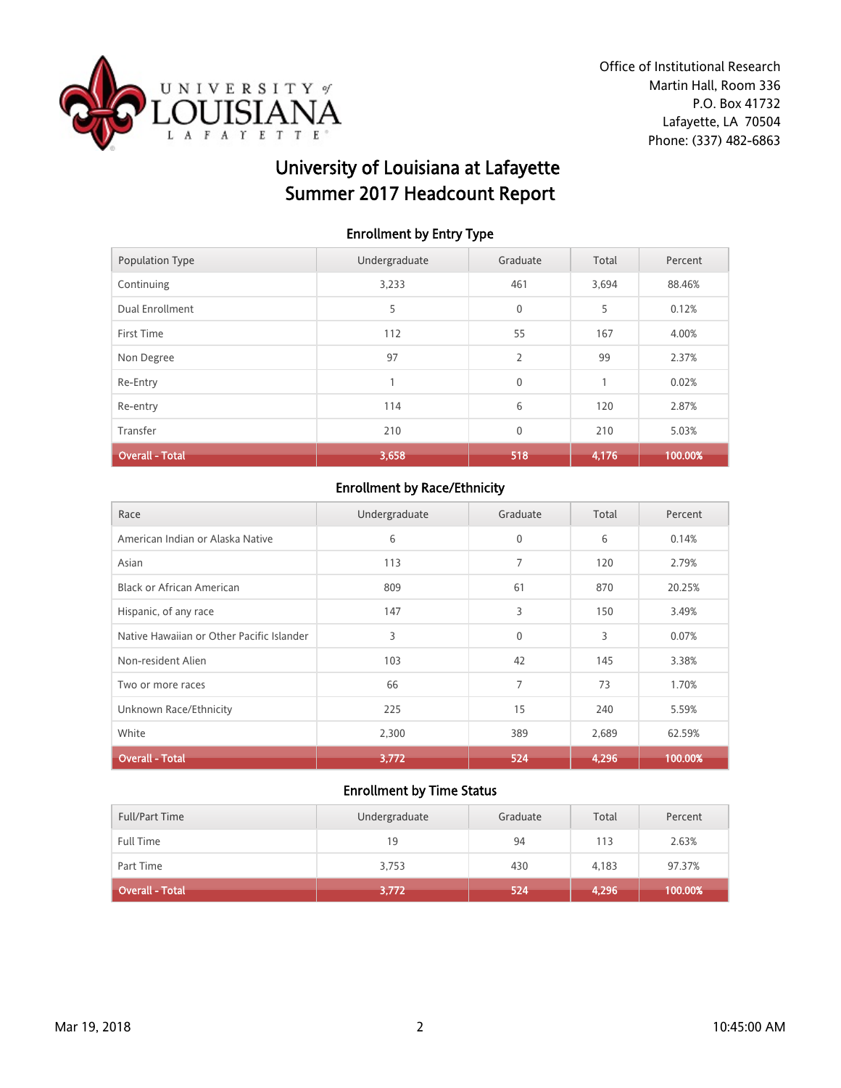

# University of Louisiana at Lafayette Summer 2017 Headcount Report

## Enrollment by Entry Type

| <b>Population Type</b> | Undergraduate | Graduate       | Total | Percent |
|------------------------|---------------|----------------|-------|---------|
| Continuing             | 3,233         | 461            | 3,694 | 88.46%  |
| Dual Enrollment        | 5             | $\mathbf 0$    | 5     | 0.12%   |
| First Time             | 112           | 55             | 167   | 4.00%   |
| Non Degree             | 97            | $\overline{2}$ | 99    | 2.37%   |
| Re-Entry               |               | $\mathbf{0}$   |       | 0.02%   |
| Re-entry               | 114           | 6              | 120   | 2.87%   |
| Transfer               | 210           | $\mathbf 0$    | 210   | 5.03%   |
| <b>Overall - Total</b> | 3,658         | 518            | 4,176 | 100.00% |

## Enrollment by Race/Ethnicity

| Race                                      | Undergraduate | Graduate     | Total | Percent |
|-------------------------------------------|---------------|--------------|-------|---------|
| American Indian or Alaska Native          | 6             | $\mathbf{0}$ | 6     | 0.14%   |
| Asian                                     | 113           | 7            | 120   | 2.79%   |
| <b>Black or African American</b>          | 809           | 61           | 870   | 20.25%  |
| Hispanic, of any race                     | 147           | 3            | 150   | 3.49%   |
| Native Hawaiian or Other Pacific Islander | 3             | $\mathbf{0}$ | 3     | 0.07%   |
| Non-resident Alien                        | 103           | 42           | 145   | 3.38%   |
| Two or more races                         | 66            | 7            | 73    | 1.70%   |
| Unknown Race/Ethnicity                    | 225           | 15           | 240   | 5.59%   |
| White                                     | 2,300         | 389          | 2,689 | 62.59%  |
| <b>Overall - Total</b>                    | 3,772         | 524          | 4,296 | 100.00% |

| <b>Overall - Total</b> | 3,772         | 524      | 4,296 | 100.00% |
|------------------------|---------------|----------|-------|---------|
| Part Time              | 3,753         | 430      | 4,183 | 97.37%  |
| <b>Full Time</b>       | 19            | 94       | 113   | 2.63%   |
| <b>Full/Part Time</b>  | Undergraduate | Graduate | Total | Percent |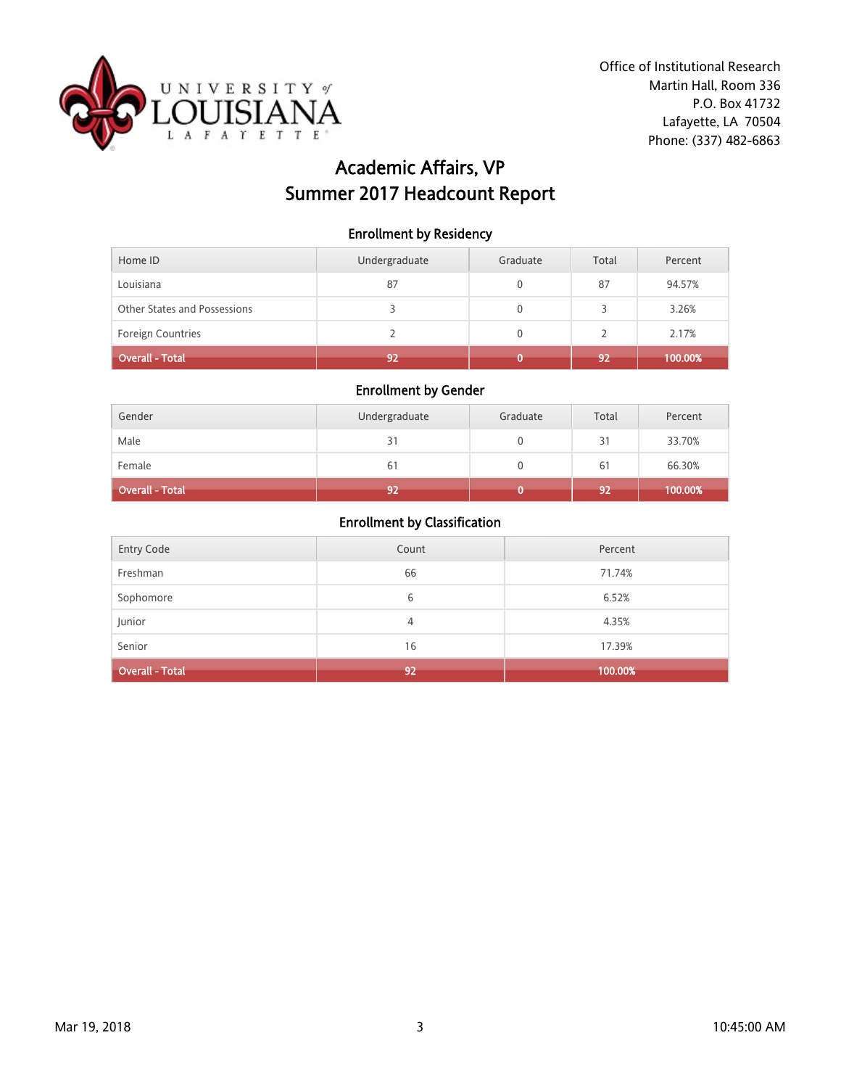

# Academic Affairs, VP Summer 2017 Headcount Report

Enrollment by Residency

| Home ID                      | Undergraduate | Graduate | Total | Percent |
|------------------------------|---------------|----------|-------|---------|
| Louisiana                    | 87            | 0        | 87    | 94.57%  |
| Other States and Possessions |               |          |       | 3.26%   |
| <b>Foreign Countries</b>     |               | 0        |       | 2.17%   |
| Overall - Total              | 92            |          | 92    | 100.00% |

## Enrollment by Gender

| Gender          | Undergraduate | Graduate | Total | Percent |
|-----------------|---------------|----------|-------|---------|
| Male            | 31            |          | 31    | 33.70%  |
| Female          | 61            |          | 61    | 66.30%  |
| Overall - Total | 92            |          | 92    | 100.00% |

| <b>Entry Code</b>      | Count | Percent |
|------------------------|-------|---------|
| Freshman               | 66    | 71.74%  |
| Sophomore              | 6     | 6.52%   |
| Junior                 | 4     | 4.35%   |
| Senior                 | 16    | 17.39%  |
| <b>Overall - Total</b> | 92    | 100.00% |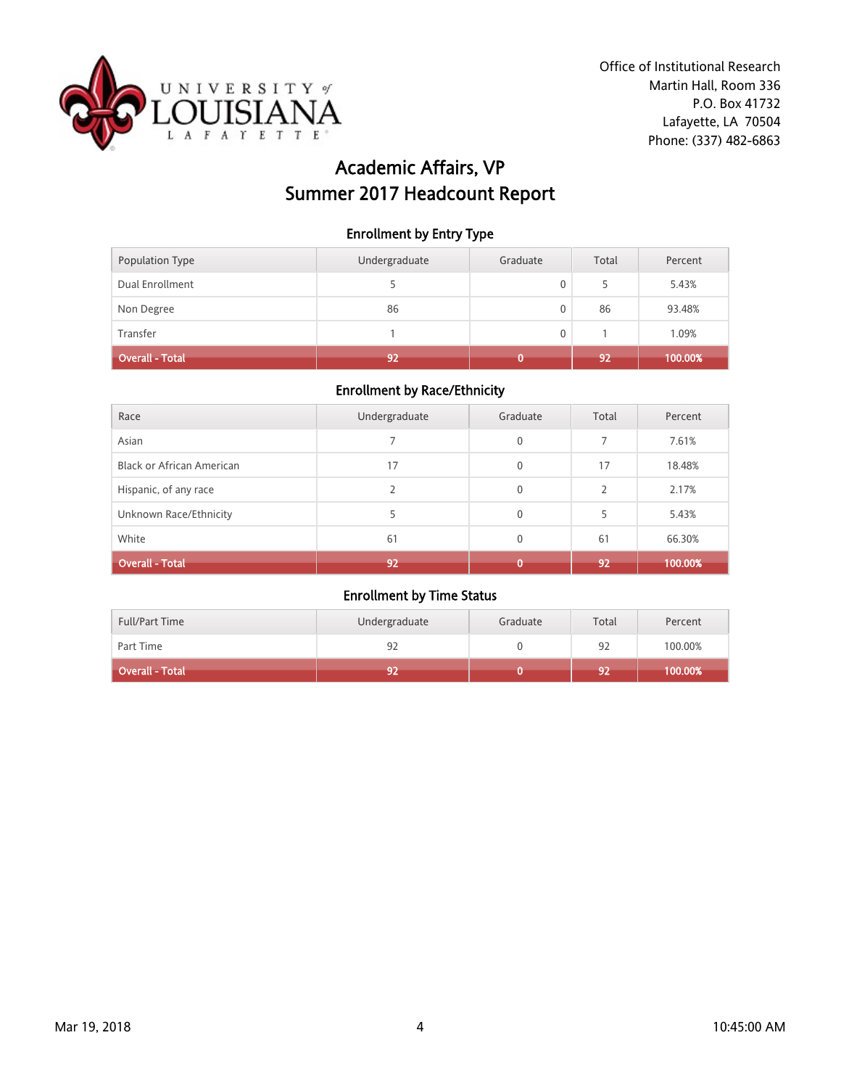

# Academic Affairs, VP Summer 2017 Headcount Report

#### Enrollment by Entry Type

| Population Type        | Undergraduate | Graduate | Total | Percent |
|------------------------|---------------|----------|-------|---------|
| Dual Enrollment        |               | 0        | 5     | 5.43%   |
| Non Degree             | 86            | 0        | 86    | 93.48%  |
| Transfer               |               | 0        |       | 1.09%   |
| <b>Overall - Total</b> | 92            |          | 92    | 100.00% |

#### Enrollment by Race/Ethnicity

| Race                      | Undergraduate | Graduate     | Total         | Percent |
|---------------------------|---------------|--------------|---------------|---------|
| Asian                     |               | $\mathbf{0}$ | 7             | 7.61%   |
| Black or African American | 17            | $\mathbf{0}$ | 17            | 18.48%  |
| Hispanic, of any race     | 2             | $\mathbf{0}$ | $\mathcal{P}$ | 2.17%   |
| Unknown Race/Ethnicity    | 5             | $\mathbf{0}$ | 5             | 5.43%   |
| White                     | 61            | $\mathbf{0}$ | 61            | 66.30%  |
| <b>Overall - Total</b>    | 92            | n            | 92            | 100.00% |

| <b>Full/Part Time</b> | Undergraduate | Graduate | Total | Percent |
|-----------------------|---------------|----------|-------|---------|
| Part Time             | 92            |          | 92    | 100.00% |
| Overall - Total       | 92            |          | 92    | 100.00% |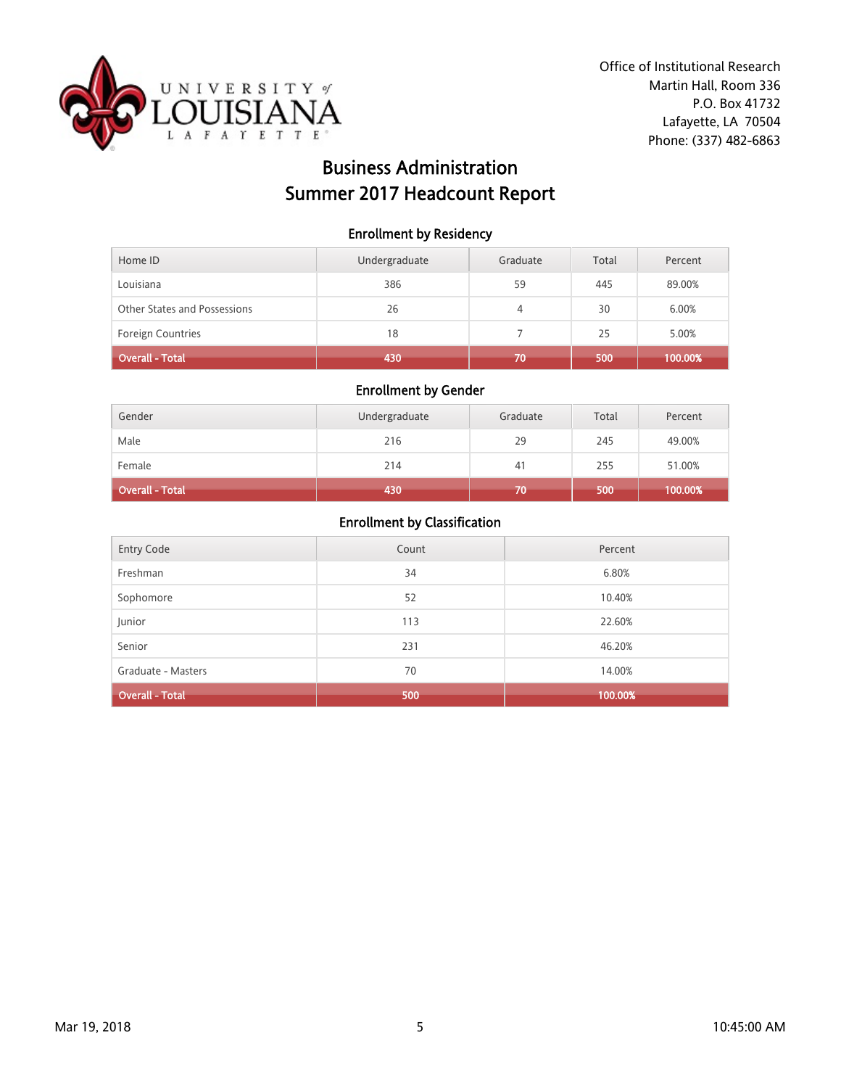

# Business Administration Summer 2017 Headcount Report

#### Enrollment by Residency

| Home ID                      | Undergraduate | Graduate | Total | Percent |
|------------------------------|---------------|----------|-------|---------|
| Louisiana                    | 386           | 59       | 445   | 89.00%  |
| Other States and Possessions | 26            | 4        | 30    | 6.00%   |
| <b>Foreign Countries</b>     | 18            |          | 25    | 5.00%   |
| Overall - Total              | 430           | 70       | 500   | 100.00% |

#### Enrollment by Gender

| Gender          | Undergraduate | Graduate | Total | Percent |
|-----------------|---------------|----------|-------|---------|
| Male            | 216           | 29       | 245   | 49.00%  |
| Female          | 214           | 41       | 255   | 51.00%  |
| Overall - Total | 430           | 70       | 500   | 100.00% |

| Entry Code             | Count | Percent |
|------------------------|-------|---------|
| Freshman               | 34    | 6.80%   |
| Sophomore              | 52    | 10.40%  |
| Junior                 | 113   | 22.60%  |
| Senior                 | 231   | 46.20%  |
| Graduate - Masters     | 70    | 14.00%  |
| <b>Overall - Total</b> | 500   | 100.00% |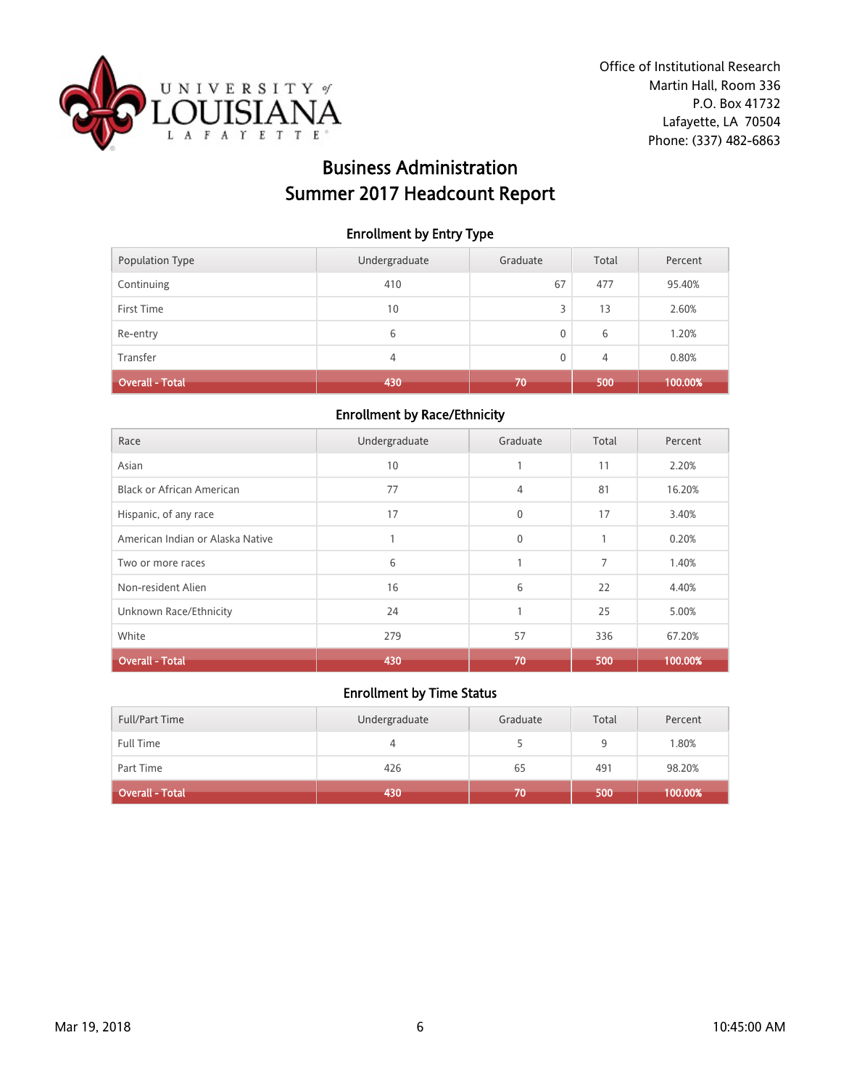

# Business Administration Summer 2017 Headcount Report

#### Enrollment by Entry Type

| Population Type | Undergraduate | Graduate | Total | Percent |
|-----------------|---------------|----------|-------|---------|
| Continuing      | 410           | 67       | 477   | 95.40%  |
| First Time      | 10            | 3        | 13    | 2.60%   |
| Re-entry        | 6             | 0        | 6     | 1.20%   |
| Transfer        | 4             | 0        | 4     | 0.80%   |
| Overall - Total | 430           | 70       | 500   | 100.00% |

#### Enrollment by Race/Ethnicity

| Race                             | Undergraduate | Graduate     | Total | Percent |
|----------------------------------|---------------|--------------|-------|---------|
| Asian                            | 10            |              | 11    | 2.20%   |
| <b>Black or African American</b> | 77            | 4            | 81    | 16.20%  |
| Hispanic, of any race            | 17            | $\mathbf 0$  | 17    | 3.40%   |
| American Indian or Alaska Native |               | $\mathbf{0}$ | 1     | 0.20%   |
| Two or more races                | 6             |              | 7     | 1.40%   |
| Non-resident Alien               | 16            | 6            | 22    | 4.40%   |
| Unknown Race/Ethnicity           | 24            |              | 25    | 5.00%   |
| White                            | 279           | 57           | 336   | 67.20%  |
| <b>Overall - Total</b>           | 430           | 70           | 500   | 100.00% |

| <b>Full/Part Time</b> | Undergraduate | Graduate | Total | Percent |
|-----------------------|---------------|----------|-------|---------|
| Full Time             |               |          | 9     | 1.80%   |
| Part Time             | 426           | 65       | 491   | 98.20%  |
| Overall - Total       | 430           | 70       | 500   | 100.00% |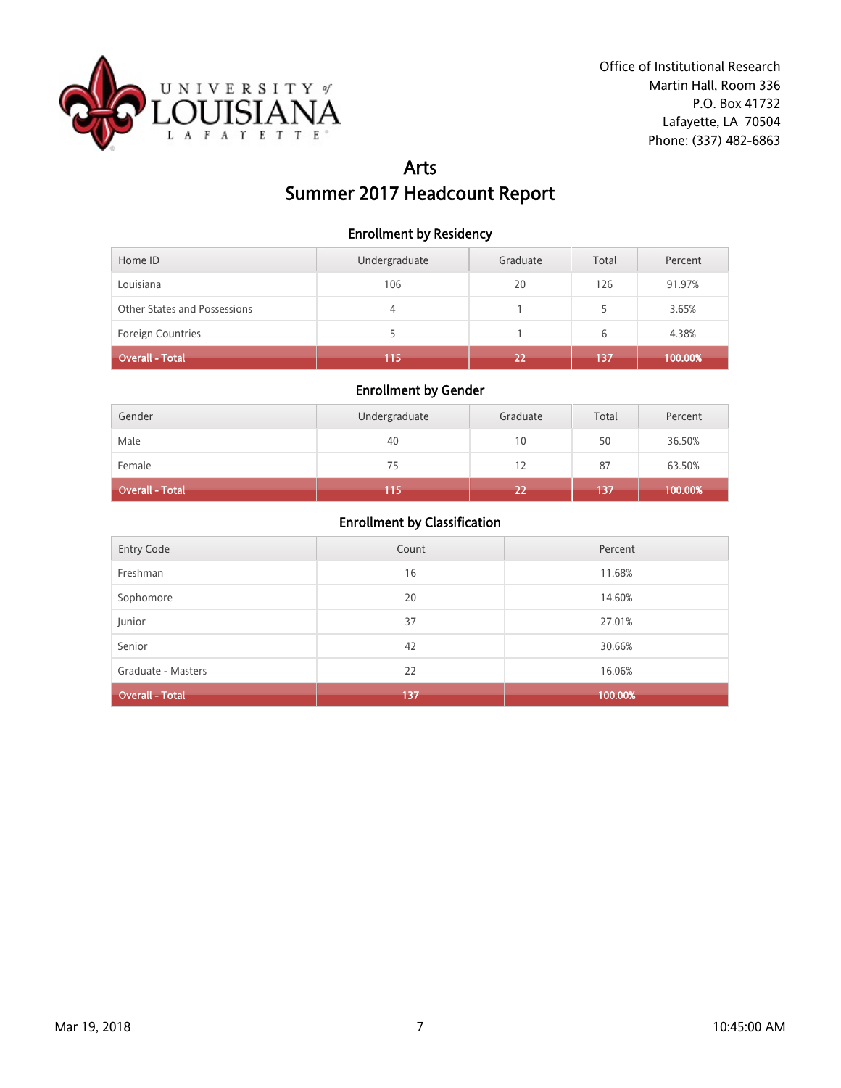

## Arts Summer 2017 Headcount Report

#### Enrollment by Residency

| Home ID                      | Undergraduate | Graduate | Total | Percent |
|------------------------------|---------------|----------|-------|---------|
| Louisiana                    | 106           | 20       | 126   | 91.97%  |
| Other States and Possessions | 4             |          | 5.    | 3.65%   |
| <b>Foreign Countries</b>     |               |          | 6     | 4.38%   |
| Overall - Total              | 115           | 22       | 137   | 100.00% |

### Enrollment by Gender

| Gender          | Undergraduate | Graduate | Total | Percent |
|-----------------|---------------|----------|-------|---------|
| Male            | 40            | 10       | 50    | 36.50%  |
| Female          | 75            | 12       | 87    | 63.50%  |
| Overall - Total | 115           | 22       | 137   | 100.00% |

| Entry Code             | Count | Percent |
|------------------------|-------|---------|
| Freshman               | 16    | 11.68%  |
| Sophomore              | 20    | 14.60%  |
| Junior                 | 37    | 27.01%  |
| Senior                 | 42    | 30.66%  |
| Graduate - Masters     | 22    | 16.06%  |
| <b>Overall - Total</b> | 137   | 100.00% |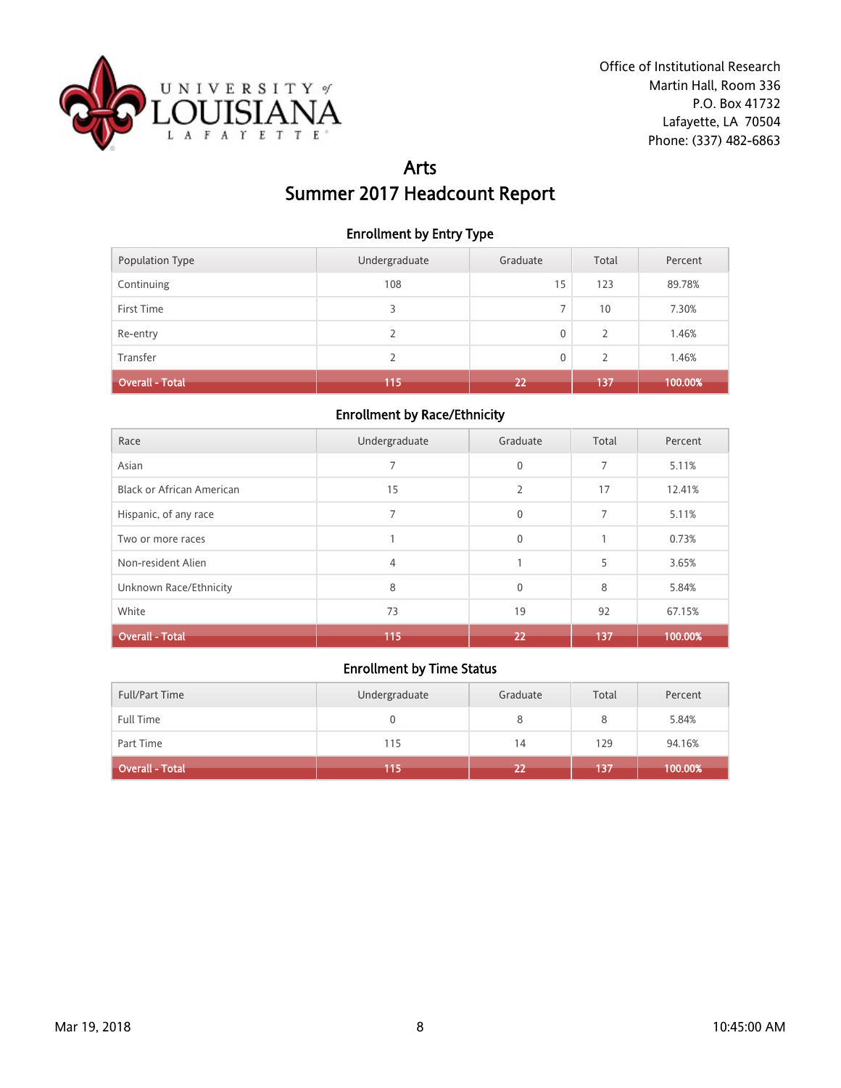

## Arts Summer 2017 Headcount Report

#### Enrollment by Entry Type

| Population Type        | Undergraduate | Graduate | Total | Percent |
|------------------------|---------------|----------|-------|---------|
| Continuing             | 108           | 15       | 123   | 89.78%  |
| First Time             | 3             |          | 10    | 7.30%   |
| Re-entry               | 2             | 0        | 2     | 1.46%   |
| Transfer               | 2             | 0        | 2     | 1.46%   |
| <b>Overall - Total</b> | 115           | 22       | 137   | 100.00% |

#### Enrollment by Race/Ethnicity

| Race                             | Undergraduate  | Graduate       | Total | Percent |
|----------------------------------|----------------|----------------|-------|---------|
| Asian                            | $\overline{7}$ | $\mathbf 0$    | 7     | 5.11%   |
| <b>Black or African American</b> | 15             | $\overline{2}$ | 17    | 12.41%  |
| Hispanic, of any race            | 7              | $\mathbf{0}$   | 7     | 5.11%   |
| Two or more races                |                | $\Omega$       |       | 0.73%   |
| Non-resident Alien               | 4              |                | 5     | 3.65%   |
| Unknown Race/Ethnicity           | 8              | $\Omega$       | 8     | 5.84%   |
| White                            | 73             | 19             | 92    | 67.15%  |
| <b>Overall - Total</b>           | 115            | 22             | 137   | 100.00% |

| <b>Full/Part Time</b>  | Undergraduate | Graduate | Total | Percent |
|------------------------|---------------|----------|-------|---------|
| Full Time              |               |          | 8     | 5.84%   |
| Part Time              | 115           | 14       | 129   | 94.16%  |
| <b>Overall - Total</b> | 115           | 22       | 137   | 100.00% |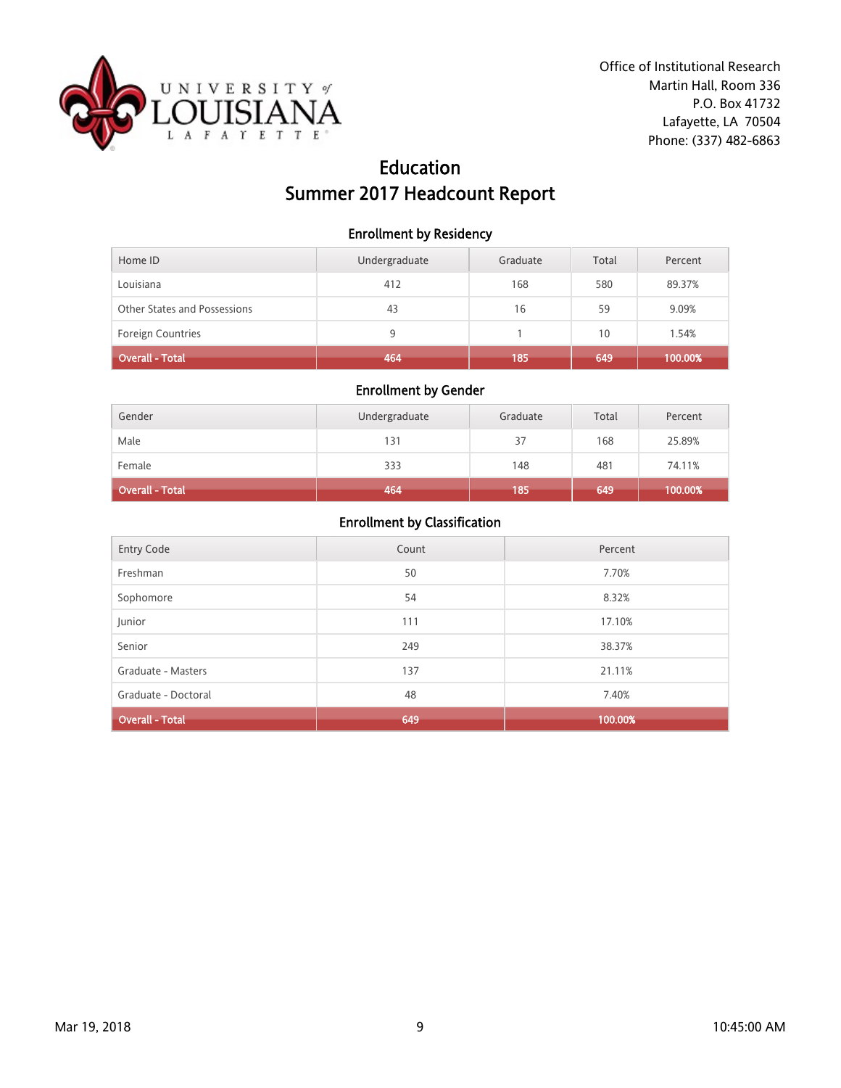

# Education Summer 2017 Headcount Report

#### Enrollment by Residency

| Home ID                      | Undergraduate | Graduate | Total | Percent |
|------------------------------|---------------|----------|-------|---------|
| Louisiana                    | 412           | 168      | 580   | 89.37%  |
| Other States and Possessions | 43            | 16       | 59    | 9.09%   |
| <b>Foreign Countries</b>     | 9             |          | 10    | 1.54%   |
| Overall - Total              | 464           | 185      | 649   | 100.00% |

### Enrollment by Gender

| Gender                 | Undergraduate | Graduate | Total | Percent |
|------------------------|---------------|----------|-------|---------|
| Male                   | 131           | 37       | 168   | 25.89%  |
| Female                 | 333           | 148      | 481   | 74.11%  |
| <b>Overall - Total</b> | 464           | 185      | 649   | 100.00% |

| <b>Entry Code</b>      | Count | Percent |
|------------------------|-------|---------|
| Freshman               | 50    | 7.70%   |
| Sophomore              | 54    | 8.32%   |
| Junior                 | 111   | 17.10%  |
| Senior                 | 249   | 38.37%  |
| Graduate - Masters     | 137   | 21.11%  |
| Graduate - Doctoral    | 48    | 7.40%   |
| <b>Overall - Total</b> | 649   | 100.00% |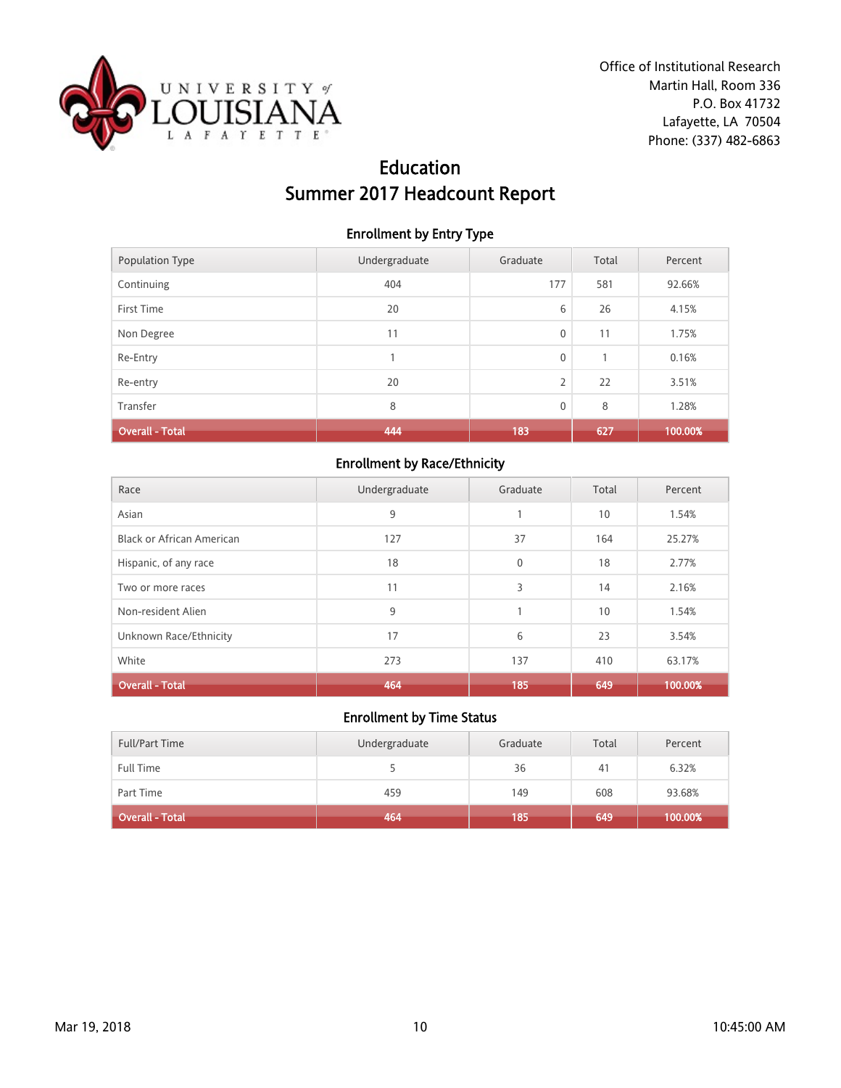

# Education Summer 2017 Headcount Report

#### Enrollment by Entry Type

| Population Type        | Undergraduate | Graduate    | Total          | Percent |
|------------------------|---------------|-------------|----------------|---------|
| Continuing             | 404           | 177         | 581            | 92.66%  |
| First Time             | 20            | 6           | 26             | 4.15%   |
| Non Degree             | 11            | $\mathbf 0$ | 11             | 1.75%   |
| Re-Entry               |               | $\mathbf 0$ | $\overline{1}$ | 0.16%   |
| Re-entry               | 20            | 2           | 22             | 3.51%   |
| Transfer               | 8             | $\mathbf 0$ | 8              | 1.28%   |
| <b>Overall - Total</b> | 444           | 183         | 627            | 100.00% |

## Enrollment by Race/Ethnicity

| Race                             | Undergraduate | Graduate     | Total | Percent |
|----------------------------------|---------------|--------------|-------|---------|
| Asian                            | 9             |              | 10    | 1.54%   |
| <b>Black or African American</b> | 127           | 37           | 164   | 25.27%  |
| Hispanic, of any race            | 18            | $\mathbf{0}$ | 18    | 2.77%   |
| Two or more races                | 11            | 3            | 14    | 2.16%   |
| Non-resident Alien               | 9             |              | 10    | 1.54%   |
| Unknown Race/Ethnicity           | 17            | 6            | 23    | 3.54%   |
| White                            | 273           | 137          | 410   | 63.17%  |
| <b>Overall - Total</b>           | 464           | 185          | 649   | 100.00% |

| <b>Full/Part Time</b> | Undergraduate | Graduate | Total | Percent |
|-----------------------|---------------|----------|-------|---------|
| Full Time             |               | 36       | 41    | 6.32%   |
| Part Time             | 459           | 149      | 608   | 93.68%  |
| Overall - Total       | 464           | 185      | 649   | 100.00% |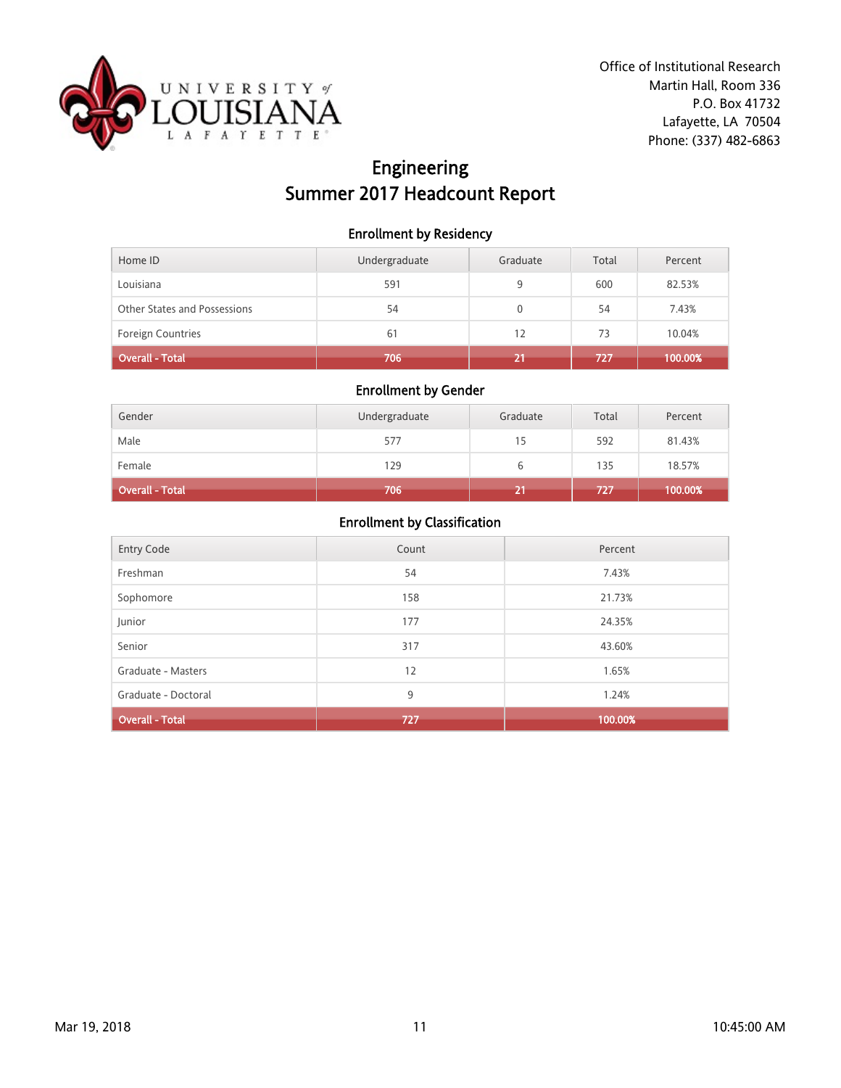

# Engineering Summer 2017 Headcount Report

#### Enrollment by Residency

| Home ID                      | Undergraduate | Graduate | Total | Percent |
|------------------------------|---------------|----------|-------|---------|
| Louisiana                    | 591           | 9        | 600   | 82.53%  |
| Other States and Possessions | 54            | 0        | 54    | 7.43%   |
| <b>Foreign Countries</b>     | 61            | 12       | 73    | 10.04%  |
| Overall - Total              | 706           |          | 727   | 100.00% |

### Enrollment by Gender

| Gender          | Undergraduate | Graduate | Total | Percent |
|-----------------|---------------|----------|-------|---------|
| Male            | 577           | 15       | 592   | 81.43%  |
| Female          | 129           | ь        | 135   | 18.57%  |
| Overall - Total | 706           |          | 727   | 100.00% |

| <b>Entry Code</b>      | Count | Percent |
|------------------------|-------|---------|
| Freshman               | 54    | 7.43%   |
| Sophomore              | 158   | 21.73%  |
| Junior                 | 177   | 24.35%  |
| Senior                 | 317   | 43.60%  |
| Graduate - Masters     | 12    | 1.65%   |
| Graduate - Doctoral    | 9     | 1.24%   |
| <b>Overall - Total</b> | 727   | 100.00% |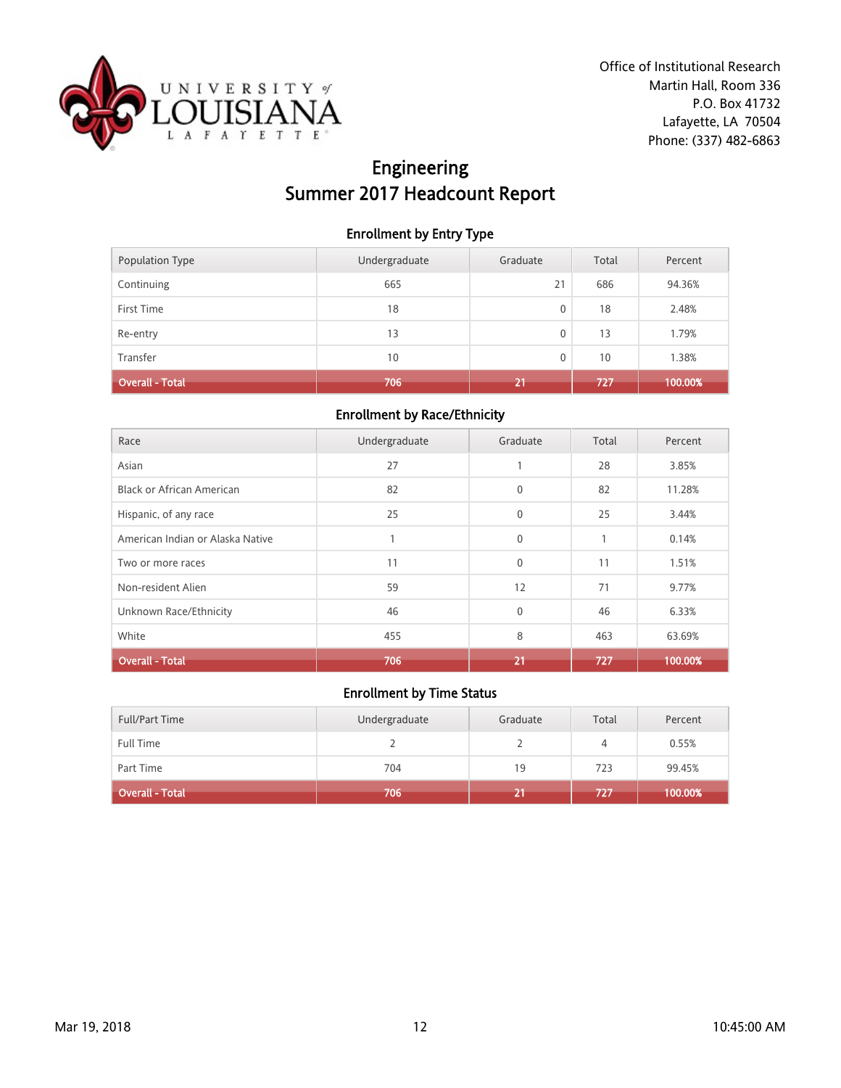

# Engineering Summer 2017 Headcount Report

#### Enrollment by Entry Type

| <b>Population Type</b> | Undergraduate | Graduate | Total | Percent |
|------------------------|---------------|----------|-------|---------|
| Continuing             | 665           | 21       | 686   | 94.36%  |
| First Time             | 18            | 0        | 18    | 2.48%   |
| Re-entry               | 13            | 0        | 13    | 1.79%   |
| Transfer               | 10            | 0        | 10    | 1.38%   |
| <b>Overall - Total</b> | 706           | 21       | 727   | 100.00% |

#### Enrollment by Race/Ethnicity

| Race                             | Undergraduate | Graduate     | Total        | Percent |
|----------------------------------|---------------|--------------|--------------|---------|
| Asian                            | 27            | 1            | 28           | 3.85%   |
| <b>Black or African American</b> | 82            | $\mathbf{0}$ | 82           | 11.28%  |
| Hispanic, of any race            | 25            | $\mathbf{0}$ | 25           | 3.44%   |
| American Indian or Alaska Native |               | $\mathbf{0}$ | $\mathbf{1}$ | 0.14%   |
| Two or more races                | 11            | $\mathbf{0}$ | 11           | 1.51%   |
| Non-resident Alien               | 59            | 12           | 71           | 9.77%   |
| Unknown Race/Ethnicity           | 46            | $\mathbf{0}$ | 46           | 6.33%   |
| White                            | 455           | 8            | 463          | 63.69%  |
| <b>Overall - Total</b>           | 706           | 21           | 727          | 100.00% |

| <b>Full/Part Time</b>  | Undergraduate | Graduate | Total | Percent |
|------------------------|---------------|----------|-------|---------|
| <b>Full Time</b>       |               |          | 4     | 0.55%   |
| Part Time              | 704           | 19       | 723   | 99.45%  |
| <b>Overall - Total</b> | 706           | z.,      | דבלו  | 100.00% |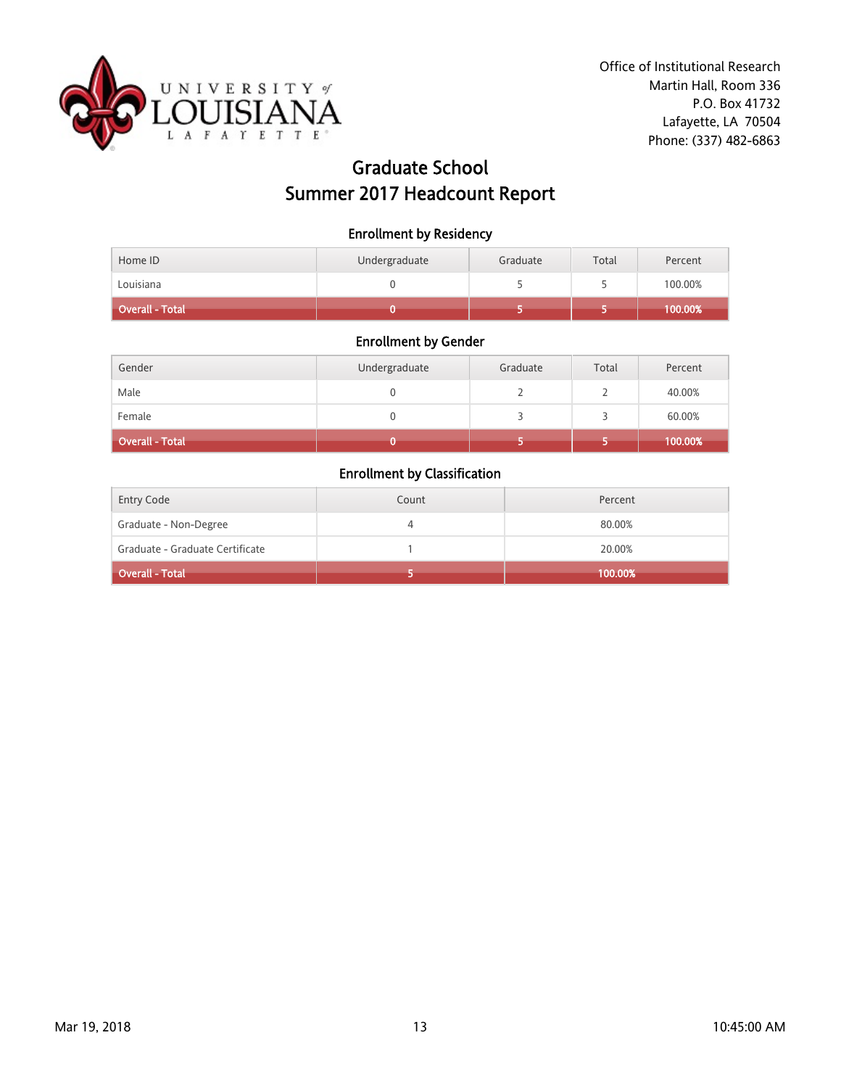

# Graduate School Summer 2017 Headcount Report

| <b>Enrollment by Residency</b> |  |  |
|--------------------------------|--|--|
|--------------------------------|--|--|

| <b>Overall - Total</b> |               |          |       | 100.00% |
|------------------------|---------------|----------|-------|---------|
| Louisiana              |               |          |       | 100.00% |
| Home ID                | Undergraduate | Graduate | Total | Percent |

### Enrollment by Gender

| Gender                 | Undergraduate | Graduate | Total | Percent |
|------------------------|---------------|----------|-------|---------|
| Male                   |               |          |       | 40.00%  |
| Female                 |               |          |       | 60.00%  |
| <b>Overall - Total</b> |               |          |       | 100.00% |

| <b>Entry Code</b>               | Count | Percent |
|---------------------------------|-------|---------|
| Graduate - Non-Degree           |       | 80.00%  |
| Graduate - Graduate Certificate |       | 20.00%  |
| Overall - Total                 |       | 100.00% |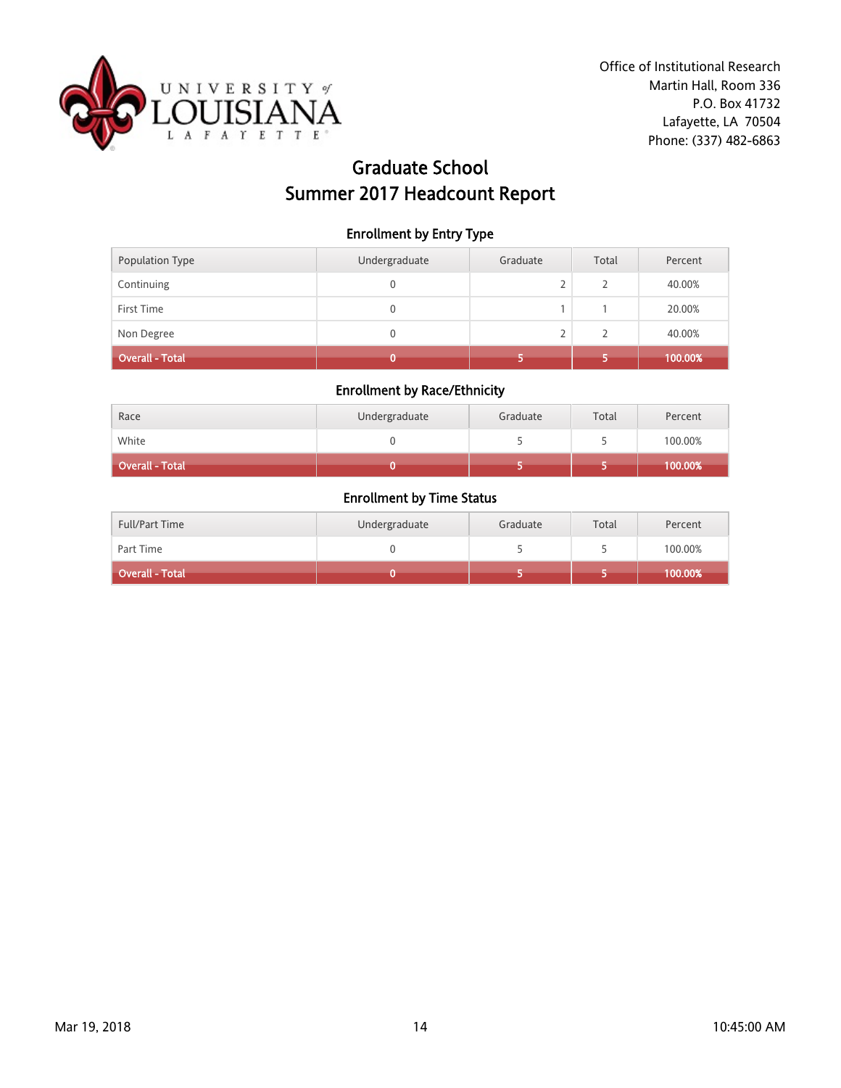

# Graduate School Summer 2017 Headcount Report

Enrollment by Entry Type

| Population Type        | Undergraduate | Graduate | Total         | Percent |
|------------------------|---------------|----------|---------------|---------|
| Continuing             |               |          | $\mathcal{P}$ | 40.00%  |
| First Time             | 0             |          |               | 20.00%  |
| Non Degree             | 0             |          | C.            | 40.00%  |
| <b>Overall - Total</b> |               |          |               | 100.00% |

#### Enrollment by Race/Ethnicity

| Race            | Undergraduate | Graduate | Total | Percent |
|-----------------|---------------|----------|-------|---------|
| White           |               |          |       | 100.00% |
| Overall - Total |               |          |       | 100.00% |

| <b>Full/Part Time</b> | Undergraduate | Graduate | Total | Percent    |
|-----------------------|---------------|----------|-------|------------|
| Part Time             |               |          |       | 100.00%    |
| Overall - Total       |               |          |       | $100.00\%$ |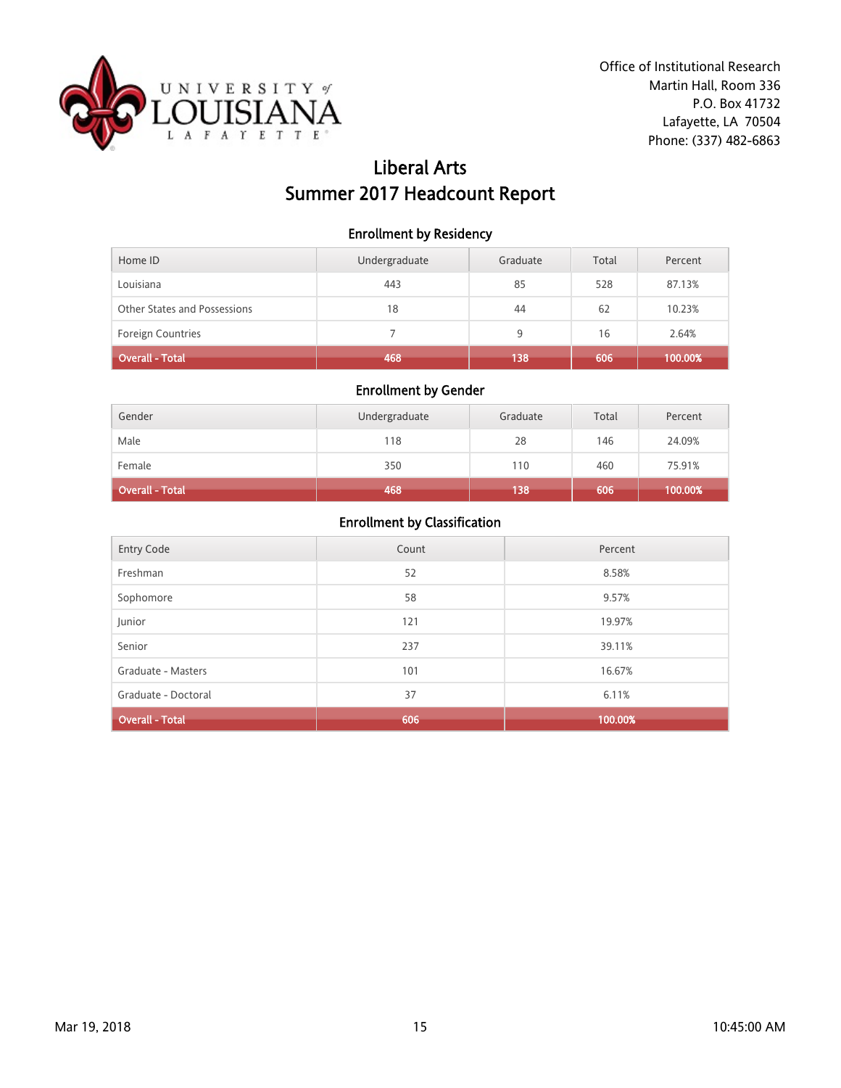

# Liberal Arts Summer 2017 Headcount Report

#### Enrollment by Residency

| Home ID                      | Undergraduate | Graduate | Total | Percent |
|------------------------------|---------------|----------|-------|---------|
| Louisiana                    | 443           | 85       | 528   | 87.13%  |
| Other States and Possessions | 18            | 44       | 62    | 10.23%  |
| <b>Foreign Countries</b>     |               | 9        | 16    | 2.64%   |
| Overall - Total              | 468           | 138      | 606   | 100.00% |

### Enrollment by Gender

| Gender          | Undergraduate | Graduate | Total | Percent |
|-----------------|---------------|----------|-------|---------|
| Male            | 118           | 28       | 146   | 24.09%  |
| Female          | 350           | 110      | 460   | 75.91%  |
| Overall - Total | 468           | 138      | 606   | 100.00% |

| <b>Entry Code</b>      | Count | Percent |
|------------------------|-------|---------|
| Freshman               | 52    | 8.58%   |
| Sophomore              | 58    | 9.57%   |
| Junior                 | 121   | 19.97%  |
| Senior                 | 237   | 39.11%  |
| Graduate - Masters     | 101   | 16.67%  |
| Graduate - Doctoral    | 37    | 6.11%   |
| <b>Overall - Total</b> | 606   | 100.00% |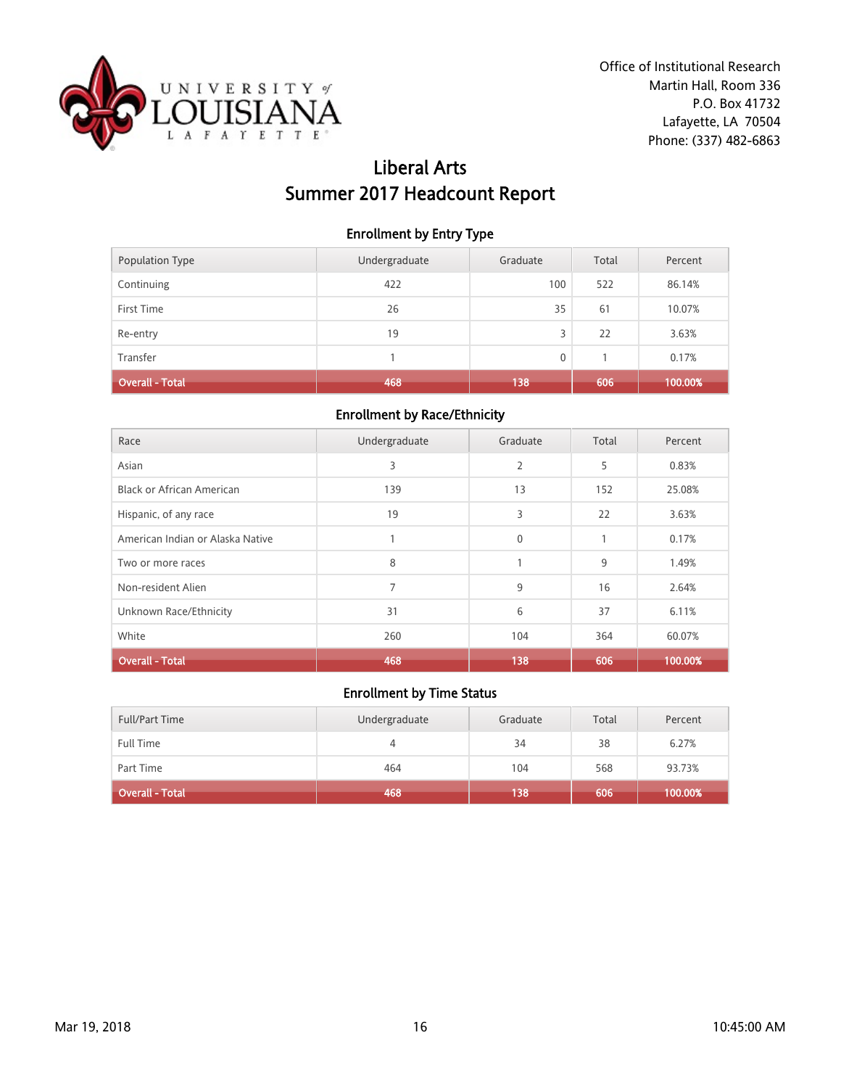

# Liberal Arts Summer 2017 Headcount Report

#### Enrollment by Entry Type

| <b>Population Type</b> | Undergraduate | Graduate | Total | Percent |
|------------------------|---------------|----------|-------|---------|
| Continuing             | 422           | 100      | 522   | 86.14%  |
| First Time             | 26            | 35       | 61    | 10.07%  |
| Re-entry               | 19            | 3        | 22    | 3.63%   |
| Transfer               |               | 0        |       | 0.17%   |
| <b>Overall - Total</b> | 468           | 138      | 606   | 100.00% |

#### Enrollment by Race/Ethnicity

| Race                             | Undergraduate | Graduate     | Total | Percent |
|----------------------------------|---------------|--------------|-------|---------|
| Asian                            | 3             | 2            | 5     | 0.83%   |
| <b>Black or African American</b> | 139           | 13           | 152   | 25.08%  |
| Hispanic, of any race            | 19            | 3            | 22    | 3.63%   |
| American Indian or Alaska Native |               | $\mathbf{0}$ | 1     | 0.17%   |
| Two or more races                | 8             |              | 9     | 1.49%   |
| Non-resident Alien               | 7             | 9            | 16    | 2.64%   |
| Unknown Race/Ethnicity           | 31            | 6            | 37    | 6.11%   |
| White                            | 260           | 104          | 364   | 60.07%  |
| <b>Overall - Total</b>           | 468           | 138          | 606   | 100.00% |

| <b>Full/Part Time</b>  | Undergraduate | Graduate | Total | Percent |
|------------------------|---------------|----------|-------|---------|
| <b>Full Time</b>       | 4             | 34       | 38    | 6.27%   |
| Part Time              | 464           | 104      | 568   | 93.73%  |
| <b>Overall - Total</b> | 468           | 138      | 606   | 100.00% |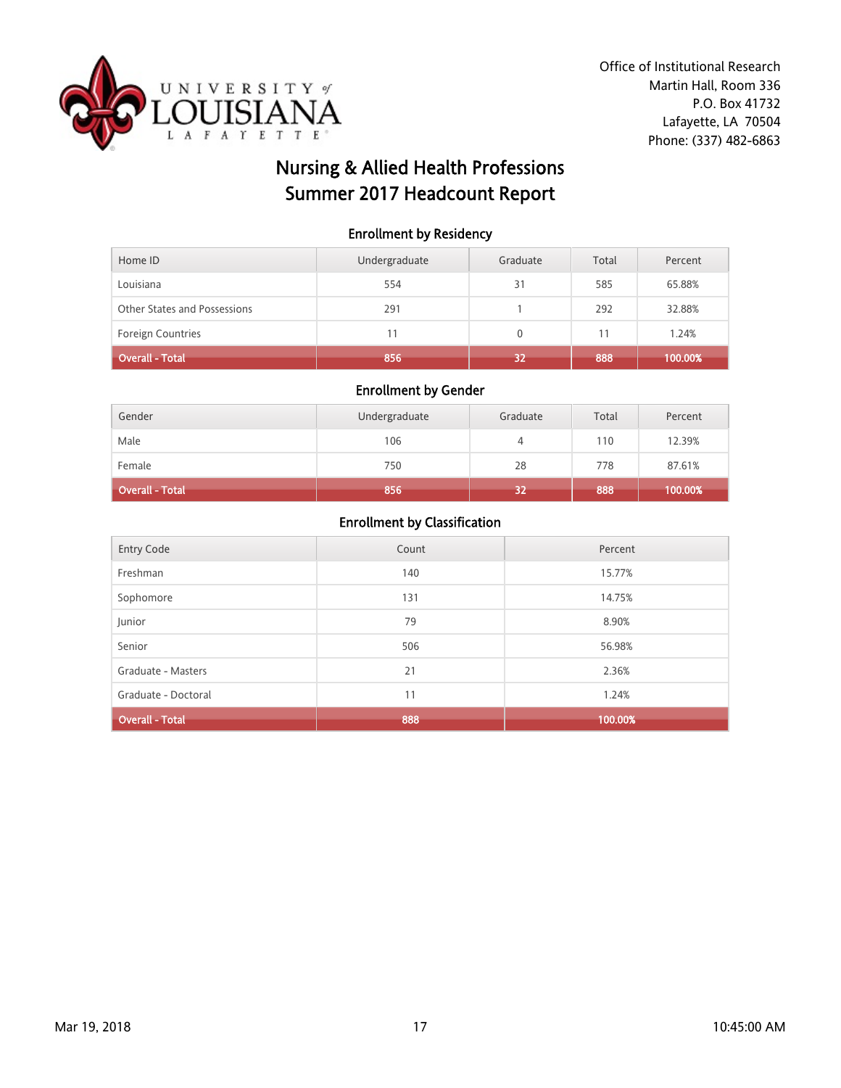

# Nursing & Allied Health Professions Summer 2017 Headcount Report

### Enrollment by Residency

| Home ID                      | Undergraduate | Graduate     | Total | Percent |
|------------------------------|---------------|--------------|-------|---------|
| Louisiana                    | 554           | 31           | 585   | 65.88%  |
| Other States and Possessions | 291           |              | 292   | 32.88%  |
| <b>Foreign Countries</b>     | 11            | $\mathbf{0}$ |       | 1.24%   |
| Overall - Total              | 856           | 32           | 888   | 100.00% |

#### Enrollment by Gender

| Gender          | Undergraduate | Graduate | Total | Percent |
|-----------------|---------------|----------|-------|---------|
| Male            | 106           | 4        | 110   | 12.39%  |
| Female          | 750           | 28       | 778   | 87.61%  |
| Overall - Total | 856           | 32       | 888   | 100.00% |

| Entry Code             | Count | Percent |
|------------------------|-------|---------|
| Freshman               | 140   | 15.77%  |
| Sophomore              | 131   | 14.75%  |
| Junior                 | 79    | 8.90%   |
| Senior                 | 506   | 56.98%  |
| Graduate - Masters     | 21    | 2.36%   |
| Graduate - Doctoral    | 11    | 1.24%   |
| <b>Overall - Total</b> | 888   | 100.00% |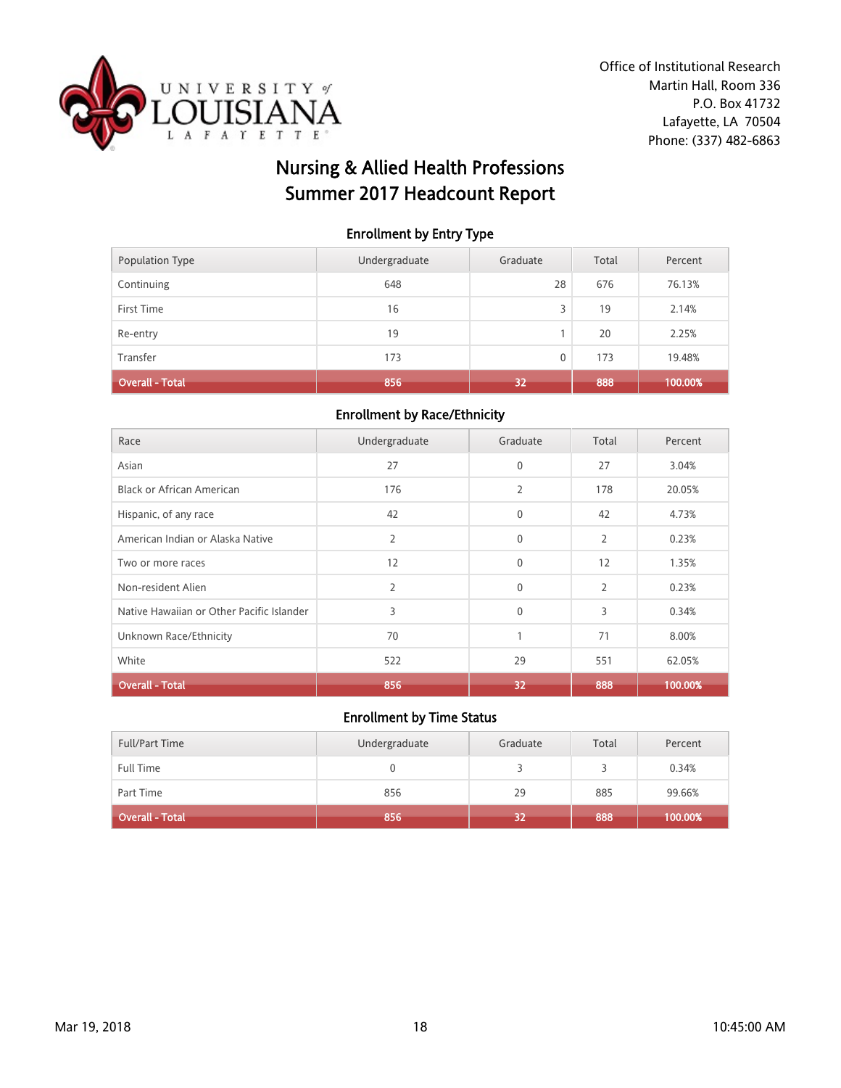

# Nursing & Allied Health Professions Summer 2017 Headcount Report

#### Enrollment by Entry Type

| <b>Population Type</b> | Undergraduate | Graduate     | Total | Percent |
|------------------------|---------------|--------------|-------|---------|
| Continuing             | 648           | 28           | 676   | 76.13%  |
| First Time             | 16            | 3            | 19    | 2.14%   |
| Re-entry               | 19            |              | 20    | 2.25%   |
| Transfer               | 173           | $\mathbf{0}$ | 173   | 19.48%  |
| <b>Overall - Total</b> | 856           | 32           | 888   | 100.00% |

#### Enrollment by Race/Ethnicity

| Race                                      | Undergraduate | Graduate     | Total          | Percent |
|-------------------------------------------|---------------|--------------|----------------|---------|
| Asian                                     | 27            | $\mathbf{0}$ | 27             | 3.04%   |
| <b>Black or African American</b>          | 176           | 2            | 178            | 20.05%  |
| Hispanic, of any race                     | 42            | $\mathbf{0}$ | 42             | 4.73%   |
| American Indian or Alaska Native          | 2             | $\mathbf{0}$ | 2              | 0.23%   |
| Two or more races                         | 12            | $\mathbf{0}$ | 12             | 1.35%   |
| Non-resident Alien                        | 2             | $\mathbf{0}$ | $\overline{2}$ | 0.23%   |
| Native Hawaiian or Other Pacific Islander | 3             | $\mathbf{0}$ | 3              | 0.34%   |
| Unknown Race/Ethnicity                    | 70            | 1            | 71             | 8.00%   |
| White                                     | 522           | 29           | 551            | 62.05%  |
| <b>Overall - Total</b>                    | 856           | 32           | 888            | 100.00% |

| <b>Full/Part Time</b>  | Undergraduate | Graduate | Total | Percent |
|------------------------|---------------|----------|-------|---------|
| Full Time              |               |          |       | 0.34%   |
| Part Time              | 856           | 29       | 885   | 99.66%  |
| <b>Overall - Total</b> | 856           | 32       | 888   | 100.00% |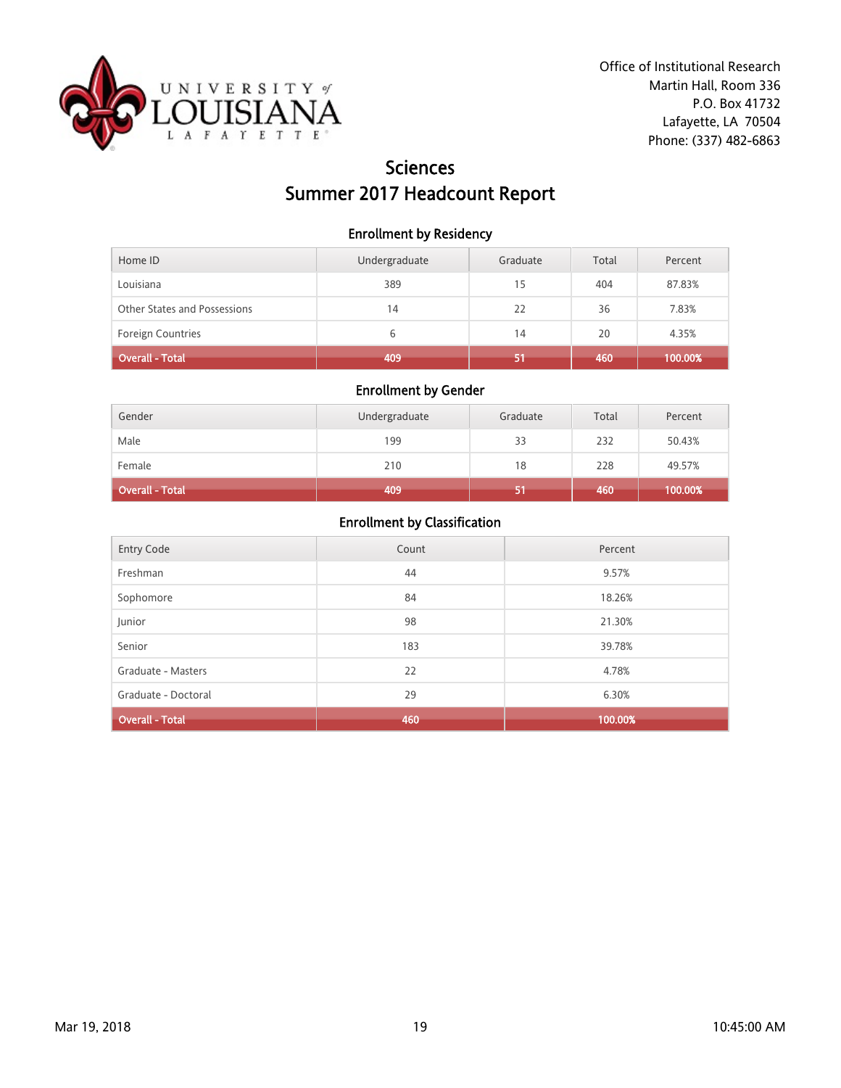

# Sciences Summer 2017 Headcount Report

#### Enrollment by Residency

| Home ID                      | Undergraduate | Graduate | Total | Percent |
|------------------------------|---------------|----------|-------|---------|
| Louisiana                    | 389           | 15       | 404   | 87.83%  |
| Other States and Possessions | 14            | 22       | 36    | 7.83%   |
| <b>Foreign Countries</b>     | 6             | 14       | 20    | 4.35%   |
| Overall - Total              | 409           | 51       | 460   | 100.00% |

### Enrollment by Gender

| Gender                 | Undergraduate | Graduate | Total | Percent |
|------------------------|---------------|----------|-------|---------|
| Male                   | 199           | 33       | 232   | 50.43%  |
| Female                 | 210           | 18       | 228   | 49.57%  |
| <b>Overall - Total</b> | 409           |          | 460   | 100.00% |

| <b>Entry Code</b>      | Count | Percent |
|------------------------|-------|---------|
| Freshman               | 44    | 9.57%   |
| Sophomore              | 84    | 18.26%  |
| Junior                 | 98    | 21.30%  |
| Senior                 | 183   | 39.78%  |
| Graduate - Masters     | 22    | 4.78%   |
| Graduate - Doctoral    | 29    | 6.30%   |
| <b>Overall - Total</b> | 460   | 100.00% |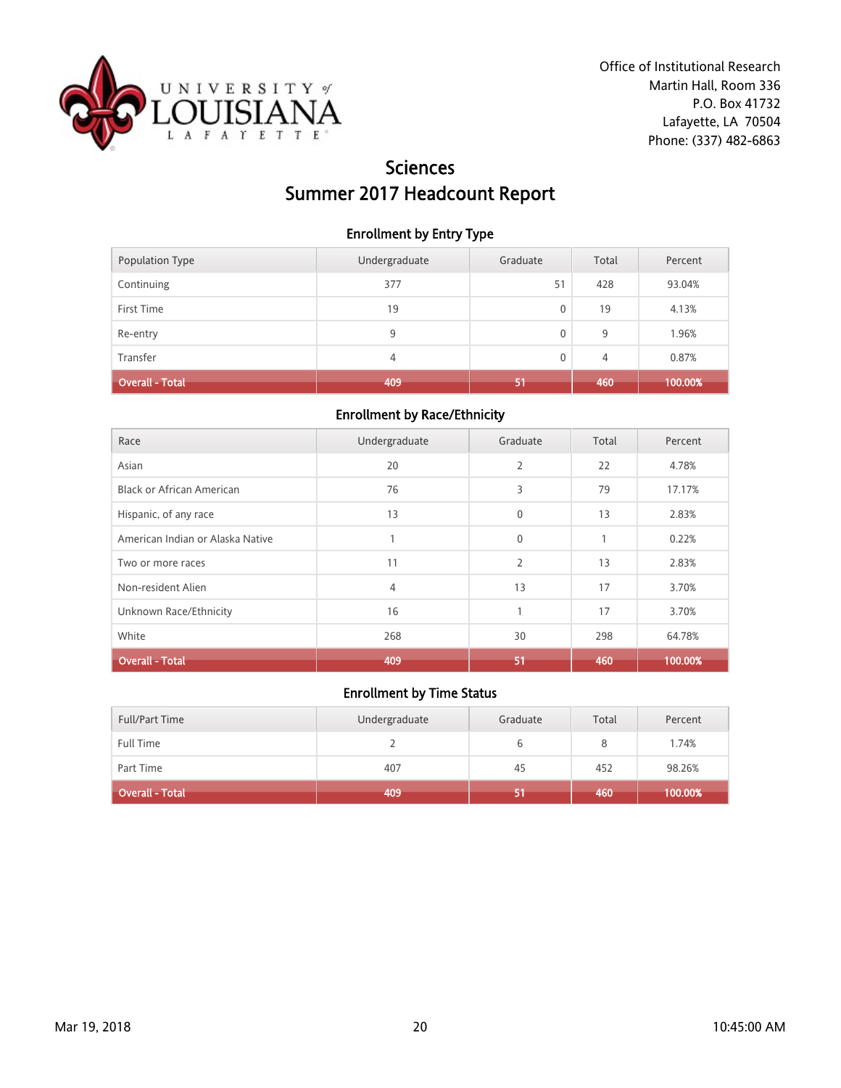

# Sciences Summer 2017 Headcount Report

#### Enrollment by Entry Type

| <b>Population Type</b> | Undergraduate | Graduate | Total | Percent |
|------------------------|---------------|----------|-------|---------|
| Continuing             | 377           | 51       | 428   | 93.04%  |
| First Time             | 19            | 0        | 19    | 4.13%   |
| Re-entry               | 9             | 0        | 9     | 1.96%   |
| Transfer               | 4             | 0        | 4     | 0.87%   |
| <b>Overall - Total</b> | 409           | 51       | 460   | 100.00% |

#### Enrollment by Race/Ethnicity

| Race                             | Undergraduate  | Graduate       | Total        | Percent |
|----------------------------------|----------------|----------------|--------------|---------|
| Asian                            | 20             | 2              | 22           | 4.78%   |
| <b>Black or African American</b> | 76             | 3              | 79           | 17.17%  |
| Hispanic, of any race            | 13             | $\mathbf{0}$   | 13           | 2.83%   |
| American Indian or Alaska Native |                | $\mathbf{0}$   | $\mathbf{1}$ | 0.22%   |
| Two or more races                | 11             | $\overline{2}$ | 13           | 2.83%   |
| Non-resident Alien               | $\overline{4}$ | 13             | 17           | 3.70%   |
| Unknown Race/Ethnicity           | 16             |                | 17           | 3.70%   |
| White                            | 268            | 30             | 298          | 64.78%  |
| <b>Overall - Total</b>           | 409            | 51             | 460          | 100.00% |

| <b>Full/Part Time</b>  | Undergraduate | Graduate | Total | Percent |
|------------------------|---------------|----------|-------|---------|
| <b>Full Time</b>       |               |          |       | 1.74%   |
| Part Time              | 407           | 45       | 452   | 98.26%  |
| <b>Overall - Total</b> | 409           |          | 460   | 100.00% |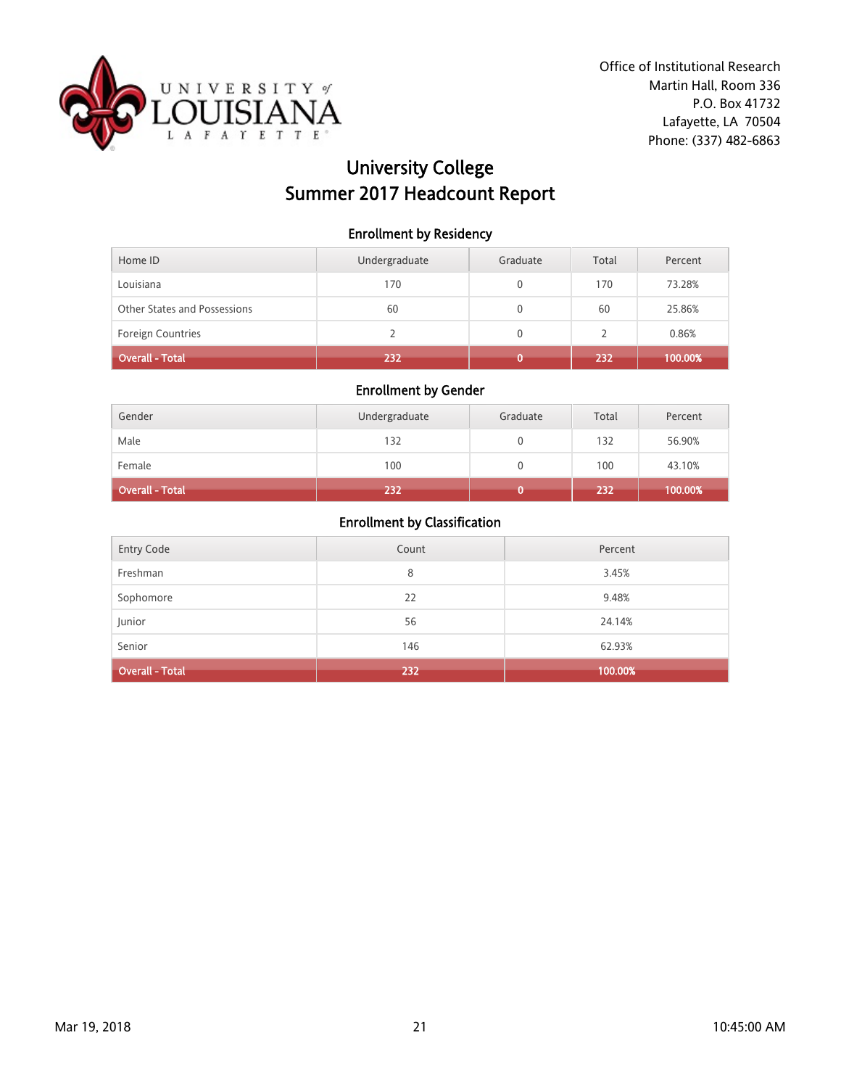

# University College Summer 2017 Headcount Report

#### Enrollment by Residency

| Home ID                      | Undergraduate | Graduate | Total | Percent |
|------------------------------|---------------|----------|-------|---------|
| Louisiana                    | 170           |          | 170   | 73.28%  |
| Other States and Possessions | 60            |          | 60    | 25.86%  |
| <b>Foreign Countries</b>     |               | 0        |       | 0.86%   |
| <b>Overall - Total</b>       | 232           |          | 232   | 100.00% |

#### Enrollment by Gender

| Gender                 | Undergraduate | Graduate | Total | Percent |
|------------------------|---------------|----------|-------|---------|
| Male                   | 132           |          | 132   | 56.90%  |
| Female                 | 100           |          | 100   | 43.10%  |
| <b>Overall - Total</b> | 232           |          | 232   | 100.00% |

| Junior<br>Senior  | 56<br>146 | 24.14%<br>62.93% |
|-------------------|-----------|------------------|
| Sophomore         | 22        | 9.48%            |
| Freshman          | 8         | 3.45%            |
| <b>Entry Code</b> | Count     | Percent          |